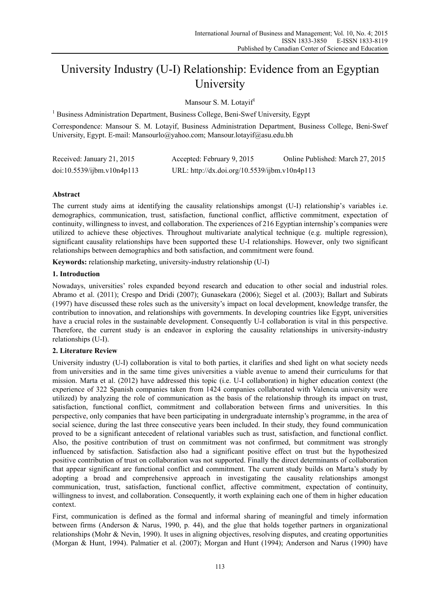# University Industry (U-I) Relationship: Evidence from an Egyptian University

Mansour S. M. Lotayif<sup>1</sup>

<sup>1</sup> Business Administration Department, Business College, Beni-Swef University, Egypt

Correspondence: Mansour S. M. Lotayif, Business Administration Department, Business College, Beni-Swef University, Egypt. E-mail: Mansourlo@yahoo.com; Mansour.lotayif@asu.edu.bh

| Received: January 21, 2015 | Accepted: February 9, 2015                    | Online Published: March 27, 2015 |
|----------------------------|-----------------------------------------------|----------------------------------|
| doi:10.5539/ijbm.v10n4p113 | URL: http://dx.doi.org/10.5539/ijbm.v10n4p113 |                                  |

# **Abstract**

The current study aims at identifying the causality relationships amongst (U-I) relationship's variables i.e. demographics, communication, trust, satisfaction, functional conflict, afflictive commitment, expectation of continuity, willingness to invest, and collaboration. The experiences of 216 Egyptian internship's companies were utilized to achieve these objectives. Throughout multivariate analytical technique (e.g. multiple regression), significant causality relationships have been supported these U-I relationships. However, only two significant relationships between demographics and both satisfaction, and commitment were found.

**Keywords:** relationship marketing, university-industry relationship (U-I)

## **1. Introduction**

Nowadays, universities' roles expanded beyond research and education to other social and industrial roles. Abramo et al. (2011); Crespo and Dridi (2007); Gunasekara (2006); Siegel et al. (2003); Ballart and Subirats (1997) have discussed these roles such as the university's impact on local development, knowledge transfer, the contribution to innovation, and relationships with governments. In developing countries like Egypt, universities have a crucial roles in the sustainable development. Consequently U-I collaboration is vital in this perspective. Therefore, the current study is an endeavor in exploring the causality relationships in university-industry relationships (U-I).

# **2. Literature Review**

University industry (U-I) collaboration is vital to both parties, it clarifies and shed light on what society needs from universities and in the same time gives universities a viable avenue to amend their curriculums for that mission. Marta et al. (2012) have addressed this topic (i.e. U-I collaboration) in higher education context (the experience of 322 Spanish companies taken from 1424 companies collaborated with Valencia university were utilized) by analyzing the role of communication as the basis of the relationship through its impact on trust, satisfaction, functional conflict, commitment and collaboration between firms and universities. In this perspective, only companies that have been participating in undergraduate internship's programme, in the area of social science, during the last three consecutive years been included. In their study, they found communication proved to be a significant antecedent of relational variables such as trust, satisfaction, and functional conflict. Also, the positive contribution of trust on commitment was not confirmed, but commitment was strongly influenced by satisfaction. Satisfaction also had a significant positive effect on trust but the hypothesized positive contribution of trust on collaboration was not supported. Finally the direct determinants of collaboration that appear significant are functional conflict and commitment. The current study builds on Marta's study by adopting a broad and comprehensive approach in investigating the causality relationships amongst communication, trust, satisfaction, functional conflict, affective commitment, expectation of continuity, willingness to invest, and collaboration. Consequently, it worth explaining each one of them in higher education context.

First, communication is defined as the formal and informal sharing of meaningful and timely information between firms (Anderson & Narus, 1990, p. 44), and the glue that holds together partners in organizational relationships (Mohr & Nevin, 1990). It uses in aligning objectives, resolving disputes, and creating opportunities (Morgan & Hunt, 1994). Palmatier et al. (2007); Morgan and Hunt (1994); Anderson and Narus (1990) have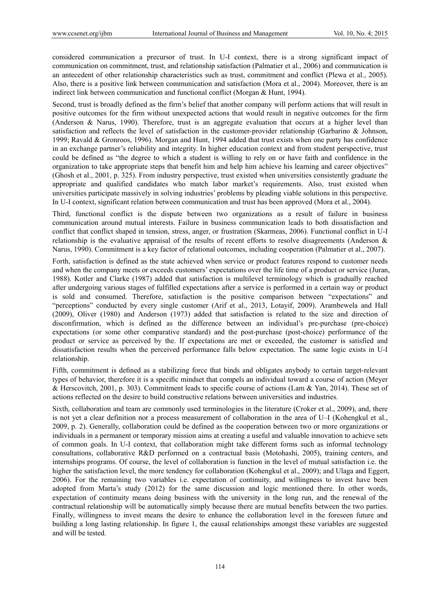considered communication a precursor of trust. In U-I context, there is a strong significant impact of communication on commitment, trust, and relationship satisfaction (Palmatier et al., 2006) and communication is an antecedent of other relationship characteristics such as trust, commitment and conflict (Plewa et al., 2005). Also, there is a positive link between communication and satisfaction (Mora et al., 2004). Moreover, there is an indirect link between communication and functional conflict (Morgan & Hunt, 1994).

Second, trust is broadly defined as the firm's belief that another company will perform actions that will result in positive outcomes for the firm without unexpected actions that would result in negative outcomes for the firm (Anderson & Narus, 1990). Therefore, trust is an aggregate evaluation that occurs at a higher level than satisfaction and reflects the level of satisfaction in the customer-provider relationship (Garbarino & Johnson, 1999; Ravald & Gronroos, 1996). Morgan and Hunt, 1994 added that trust exists when one party has confidence in an exchange partner's reliability and integrity. In higher education context and from student perspective, trust could be defined as "the degree to which a student is willing to rely on or have faith and confidence in the organization to take appropriate steps that benefit him and help him achieve his learning and career objectives" (Ghosh et al., 2001, p. 325). From industry perspective, trust existed when universities consistently graduate the appropriate and qualified candidates who match labor market's requirements. Also, trust existed when universities participate massively in solving industries' problems by pleading viable solutions in this perspective. In U-I context, significant relation between communication and trust has been approved (Mora et al., 2004).

Third, functional conflict is the dispute between two organizations as a result of failure in business communication around mutual interests. Failure in business communication leads to both dissatisfaction and conflict that conflict shaped in tension, stress, anger, or frustration (Skarmeas, 2006). Functional conflict in U-I relationship is the evaluative appraisal of the results of recent efforts to resolve disagreements (Anderson & Narus, 1990). Commitment is a key factor of relational outcomes, including cooperation (Palmatier et al., 2007).

Forth, satisfaction is defined as the state achieved when service or product features respond to customer needs and when the company meets or exceeds customers' expectations over the life time of a product or service (Juran, 1988). Kotler and Clarke (1987) added that satisfaction is multilevel terminology which is gradually reached after undergoing various stages of fulfilled expectations after a service is performed in a certain way or product is sold and consumed. Therefore, satisfaction is the positive comparison between "expectations" and "perceptions" conducted by every single customer (Arif et al., 2013, Lotayif, 2009). Arambewela and Hall (2009), Oliver (1980) and Anderson (1973) added that satisfaction is related to the size and direction of disconfirmation, which is defined as the difference between an individual's pre-purchase (pre-choice) expectations (or some other comparative standard) and the post-purchase (post-choice) performance of the product or service as perceived by the. If expectations are met or exceeded, the customer is satisfied and dissatisfaction results when the perceived performance falls below expectation. The same logic exists in U-I relationship.

Fifth, commitment is defined as a stabilizing force that binds and obligates anybody to certain target-relevant types of behavior, therefore it is a specific mindset that compels an individual toward a course of action (Meyer & Herscovitch, 2001, p. 303). Commitment leads to specific course of actions (Lam & Yan, 2014). These set of actions reflected on the desire to build constructive relations between universities and industries.

Sixth, collaboration and team are commonly used terminologies in the literature (Croker et al., 2009), and, there is not yet a clear definition nor a process measurement of collaboration in the area of U–I (Kohengkul et al., 2009, p. 2). Generally, collaboration could be defined as the cooperation between two or more organizations or individuals in a permanent or temporary mission aims at creating a useful and valuable innovation to achieve sets of common goals. In U-I context, that collaboration might take different forms such as informal technology consultations, collaborative R&D performed on a contractual basis (Motohashi, 2005), training centers, and internships programs. Of course, the level of collaboration is function in the level of mutual satisfaction i.e. the higher the satisfaction level, the more tendency for collaboration (Kohengkul et al., 2009); and Ulaga and Eggert, 2006). For the remaining two variables i.e. expectation of continuity, and willingness to invest have been adopted from Marta's study (2012) for the same discussion and logic mentioned there. In other words, expectation of continuity means doing business with the university in the long run, and the renewal of the contractual relationship will be automatically simply because there are mutual benefits between the two parties. Finally, willingness to invest means the desire to enhance the collaboration level in the foreseen future and building a long lasting relationship. In figure 1, the causal relationships amongst these variables are suggested and will be tested.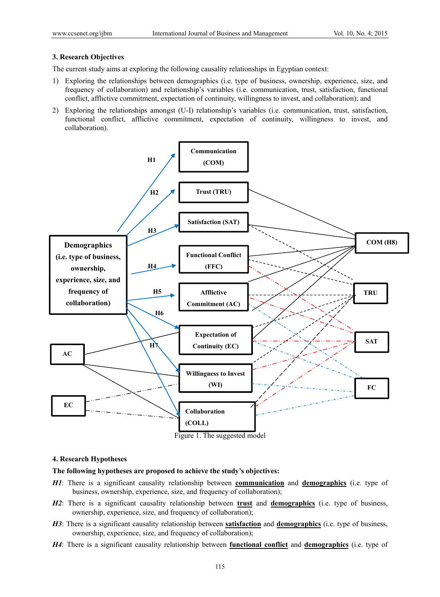## **3. Research Objectives**

The current study aims at exploring the following causality relationships in Egyptian context:

- 1) Exploring the relationships between demographics (i.e. type of business, ownership, experience, size, and frequency of collaboration) and relationship's variables (i.e. communication, trust, satisfaction, functional conflict, afflictive commitment, expectation of continuity, willingness to invest, and collaboration); and
- 2) Exploring the relationships amongst (U-I) relationship's variables (i.e. communication, trust, satisfaction, functional conflict, afflictive commitment, expectation of continuity, willingness to invest, and collaboration).



### **4. Research Hypotheses**

### **The following hypotheses are proposed to achieve the study's objectives:**

- *H1*: There is a significant causality relationship between **communication** and **demographics** (i.e. type of business, ownership, experience, size, and frequency of collaboration);
- *H2*: There is a significant causality relationship between **trust** and **demographics** (i.e. type of business, ownership, experience, size, and frequency of collaboration);
- *H3*: There is a significant causality relationship between **satisfaction** and **demographics** (i.e. type of business, ownership, experience, size, and frequency of collaboration);
- *H4*: There is a significant causality relationship between **functional conflict** and **demographics** (i.e. type of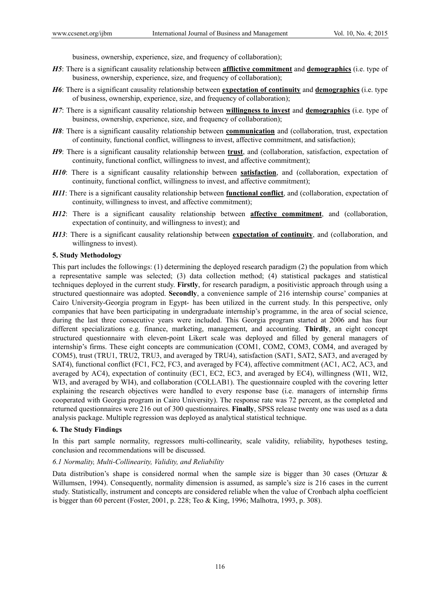business, ownership, experience, size, and frequency of collaboration);

- *H5*: There is a significant causality relationship between **afflictive commitment** and **demographics** (i.e. type of business, ownership, experience, size, and frequency of collaboration);
- *H6*: There is a significant causality relationship between **expectation of continuity** and **demographics** (i.e. type of business, ownership, experience, size, and frequency of collaboration);
- *H7*: There is a significant causality relationship between **willingness to invest** and **demographics** (i.e. type of business, ownership, experience, size, and frequency of collaboration);
- *H8*: There is a significant causality relationship between **communication** and (collaboration, trust, expectation of continuity, functional conflict, willingness to invest, affective commitment, and satisfaction);
- *H9*: There is a significant causality relationship between **trust**, and (collaboration, satisfaction, expectation of continuity, functional conflict, willingness to invest, and affective commitment);
- *H10*: There is a significant causality relationship between **satisfaction**, and (collaboration, expectation of continuity, functional conflict, willingness to invest, and affective commitment);
- *H11*: There is a significant causality relationship between **functional conflict**, and (collaboration, expectation of continuity, willingness to invest, and affective commitment);
- *H12*: There is a significant causality relationship between **affective commitment**, and (collaboration, expectation of continuity, and willingness to invest); and
- *H13*: There is a significant causality relationship between **expectation of continuity**, and (collaboration, and willingness to invest).

## **5. Study Methodology**

This part includes the followings: (1) determining the deployed research paradigm (2) the population from which a representative sample was selected; (3) data collection method; (4) statistical packages and statistical techniques deployed in the current study. **Firstly**, for research paradigm, a positivistic approach through using a structured questionnaire was adopted. **Secondly**, a convenience sample of 216 internship course' companies at Cairo University-Georgia program in Egypt- has been utilized in the current study. In this perspective, only companies that have been participating in undergraduate internship's programme, in the area of social science, during the last three consecutive years were included. This Georgia program started at 2006 and has four different specializations e.g. finance, marketing, management, and accounting. **Thirdly**, an eight concept structured questionnaire with eleven-point Likert scale was deployed and filled by general managers of internship's firms. These eight concepts are communication (COM1, COM2, COM3, COM4, and averaged by COM5), trust (TRU1, TRU2, TRU3, and averaged by TRU4), satisfaction (SAT1, SAT2, SAT3, and averaged by SAT4), functional conflict (FC1, FC2, FC3, and averaged by FC4), affective commitment (AC1, AC2, AC3, and averaged by AC4), expectation of continuity (EC1, EC2, EC3, and averaged by EC4), willingness (WI1, WI2, WI3, and averaged by WI4), and collaboration (COLLAB1). The questionnaire coupled with the covering letter explaining the research objectives were handled to every response base (i.e. managers of internship firms cooperated with Georgia program in Cairo University). The response rate was 72 percent, as the completed and returned questionnaires were 216 out of 300 questionnaires. **Finally**, SPSS release twenty one was used as a data analysis package. Multiple regression was deployed as analytical statistical technique.

## **6. The Study Findings**

In this part sample normality, regressors multi-collinearity, scale validity, reliability, hypotheses testing, conclusion and recommendations will be discussed.

## *6.1 Normality, Multi-Collinearity, Validity, and Reliability*

Data distribution's shape is considered normal when the sample size is bigger than 30 cases (Ortuzar  $\&$ Willumsen, 1994). Consequently, normality dimension is assumed, as sample's size is 216 cases in the current study. Statistically, instrument and concepts are considered reliable when the value of Cronbach alpha coefficient is bigger than 60 percent (Foster, 2001, p. 228; Teo & King, 1996; Malhotra, 1993, p. 308).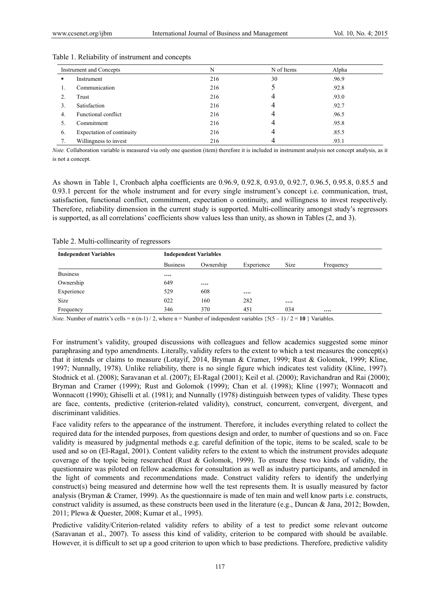|    | Instrument and Concepts   | N   | N of Items | Alpha |
|----|---------------------------|-----|------------|-------|
| ٠  | Instrument                | 216 | 30         | .96.9 |
|    | Communication             | 216 |            | .92.8 |
|    | Trust                     | 216 | 4          | .93.0 |
|    | Satisfaction              | 216 |            | .92.7 |
| 4. | Functional conflict       | 216 | 4          | .96.5 |
|    | Commitment                | 216 | 4          | .95.8 |
| 6. | Expectation of continuity | 216 | 4          | .85.5 |
|    | Willingness to invest     | 216 |            | .93.1 |

#### Table 1. Reliability of instrument and concepts

*Note.* Collaboration variable is measured via only one question (item) therefore it is included in instrument analysis not concept analysis, as it is not a concept.

As shown in Table 1, Cronbach alpha coefficients are 0.96.9, 0.92.8, 0.93.0, 0.92.7, 0.96.5, 0.95.8, 0.85.5 and 0.93.1 percent for the whole instrument and for every single instrument's concept i.e. communication, trust, satisfaction, functional conflict, commitment, expectation o continuity, and willingness to invest respectively. Therefore, reliability dimension in the current study is supported. Multi-collinearity amongst study's regressors is supported, as all correlations' coefficients show values less than unity, as shown in Tables (2, and 3).

#### Table 2. Multi-collinearity of regressors

| <b>Independent Variables</b> | <b>Independent Variables</b> |           |          |     |  |  |  |
|------------------------------|------------------------------|-----------|----------|-----|--|--|--|
|                              | <b>Business</b>              | Frequency |          |     |  |  |  |
| <b>Business</b>              |                              |           |          |     |  |  |  |
| Ownership                    | 649                          |           |          |     |  |  |  |
| Experience                   | 529                          | 608       | $\cdots$ |     |  |  |  |
| Size                         | 022                          | 160       | 282      |     |  |  |  |
| Frequency                    | 346                          | 370       | 451      | 034 |  |  |  |

*Note.* Number of matrix's cells = n (n-1) / 2, where n = Number of independent variables  $\{5(5 - 1)/2 = 10\}$  Variables.

For instrument's validity, grouped discussions with colleagues and fellow academics suggested some minor paraphrasing and typo amendments. Literally, validity refers to the extent to which a test measures the concept(s) that it intends or claims to measure (Lotayif, 2014, Bryman & Cramer, 1999; Rust & Golomok, 1999; Kline, 1997; Nunnally, 1978). Unlike reliability, there is no single figure which indicates test validity (Kline, 1997). Stodnick et al. (2008); Saravanan et al. (2007); El-Ragal (2001); Keil et al. (2000); Ravichandran and Rai (2000); Bryman and Cramer (1999); Rust and Golomok (1999); Chan et al. (1998); Kline (1997); Wonnacott and Wonnacott (1990); Ghiselli et al. (1981); and Nunnally (1978) distinguish between types of validity. These types are face, contents, predictive (criterion-related validity), construct, concurrent, convergent, divergent, and discriminant validities.

Face validity refers to the appearance of the instrument. Therefore, it includes everything related to collect the required data for the intended purposes, from questions design and order, to number of questions and so on. Face validity is measured by judgmental methods e.g. careful definition of the topic, items to be scaled, scale to be used and so on (El-Ragal, 2001). Content validity refers to the extent to which the instrument provides adequate coverage of the topic being researched (Rust & Golomok, 1999). To ensure these two kinds of validity, the questionnaire was piloted on fellow academics for consultation as well as industry participants, and amended in the light of comments and recommendations made. Construct validity refers to identify the underlying construct(s) being measured and determine how well the test represents them. It is usually measured by factor analysis (Bryman & Cramer, 1999). As the questionnaire is made of ten main and well know parts i.e. constructs, construct validity is assumed, as these constructs been used in the literature (e.g., Duncan & Jana, 2012; Bowden, 2011; Plewa & Quester, 2008; Kumar et al., 1995).

Predictive validity/Criterion-related validity refers to ability of a test to predict some relevant outcome (Saravanan et al., 2007). To assess this kind of validity, criterion to be compared with should be available. However, it is difficult to set up a good criterion to upon which to base predictions. Therefore, predictive validity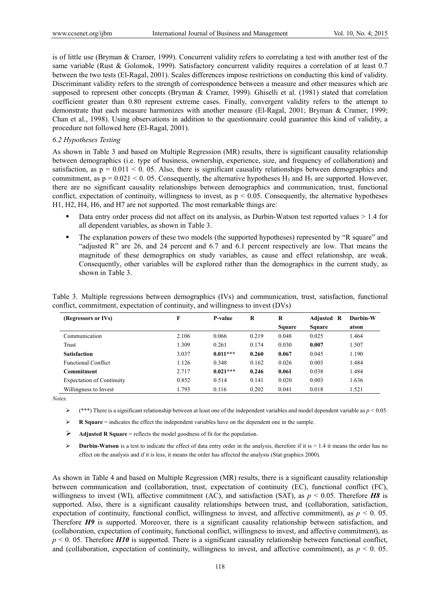is of little use (Bryman & Cramer, 1999). Concurrent validity refers to correlating a test with another test of the same variable (Rust & Golomok, 1999). Satisfactory concurrent validity requires a correlation of at least 0.7 between the two tests (El-Ragal, 2001). Scales differences impose restrictions on conducting this kind of validity. Discriminant validity refers to the strength of correspondence between a measure and other measures which are supposed to represent other concepts (Bryman & Cramer, 1999). Ghiselli et al. (1981) stated that correlation coefficient greater than 0.80 represent extreme cases. Finally, convergent validity refers to the attempt to demonstrate that each measure harmonizes with another measure (El-Ragal, 2001; Bryman & Cramer, 1999; Chan et al., 1998). Using observations in addition to the questionnaire could guarantee this kind of validity, a procedure not followed here (El-Ragal, 2001).

#### *6.2 Hypotheses Testing*

As shown in Table 3 and based on Multiple Regression (MR) results, there is significant causality relationship between demographics (i.e. type of business, ownership, experience, size, and frequency of collaboration) and satisfaction, as  $p = 0.011 \le 0.05$ . Also, there is significant causality relationships between demographics and commitment, as  $p = 0.021 < 0.05$ . Consequently, the alternative hypotheses H<sub>3</sub> and H<sub>5</sub> are supported. However, there are no significant causality relationships between demographics and communication, trust, functional conflict, expectation of continuity, willingness to invest, as  $p < 0.05$ . Consequently, the alternative hypotheses H1, H2, H4, H6, and H7 are not supported. The most remarkable things are:

- Data entry order process did not affect on its analysis, as Durbin-Watson test reported values  $> 1.4$  for all dependent variables, as shown in Table 3.
- The explanation powers of these two models (the supported hypotheses) represented by "R square" and "adjusted R" are 26, and 24 percent and 6.7 and 6.1 percent respectively are low. That means the magnitude of these demographics on study variables, as cause and effect relationship, are weak. Consequently, other variables will be explored rather than the demographics in the current study, as shown in Table 3.

|  |  |  | Table 3. Multiple regressions between demographics (IVs) and communication, trust, satisfaction, functional |  |  |
|--|--|--|-------------------------------------------------------------------------------------------------------------|--|--|
|  |  |  | conflict, commitment, expectation of continuity, and willingness to invest (DVs)                            |  |  |

| (Regressors or IVs)              | F     | P-value    | R     | R             | <b>Adjusted R</b> | Durbin-W |
|----------------------------------|-------|------------|-------|---------------|-------------------|----------|
|                                  |       |            |       | <b>Square</b> | <b>Square</b>     | atson    |
| Communication                    | 2.106 | 0.066      | 0.219 | 0.048         | 0.025             | 1.464    |
| Trust                            | 1.309 | 0.261      | 0.174 | 0.030         | 0.007             | 1.507    |
| <b>Satisfaction</b>              | 3.037 | $0.011***$ | 0.260 | 0.067         | 0.045             | 1.190    |
| <b>Functional Conflict</b>       | 1.126 | 0.348      | 0.162 | 0.026         | 0.003             | 1.484    |
| Commitment                       | 2.717 | $0.021***$ | 0.246 | 0.061         | 0.038             | 1.484    |
| <b>Expectation of Continuity</b> | 0.852 | 0.514      | 0.141 | 0.020         | 0.003             | 1.636    |
| Willingness to Invest            | 1.793 | 0.116      | 0.202 | 0.041         | 0.018             | 1.521    |

*Notes.* 

- $★$  (\*\*\*) There is a significant relationship between at least one of the independent variables and model dependent variable as  $p < 0.05$ .
- **R Square** = indicates the effect the independent variables have on the dependent one in the sample.
- Adjusted R Square = reflects the model goodness of fit for the population.
- **►** Durbin-Watson is a test to indicate the effect of data entry order in the analysis, therefore if it is > 1.4 it means the order has no effect on the analysis and if it is less, it means the order has affected the analysis (Stat graphics 2000).

As shown in Table 4 and based on Multiple Regression (MR) results, there is a significant causality relationship between communication and (collaboration, trust, expectation of continuity (EC), functional conflict (FC), willingness to invest (WI), affective commitment (AC), and satisfaction (SAT), as *p* < 0.05. Therefore *H8* is supported. Also, there is a significant causality relationships between trust, and (collaboration, satisfaction, expectation of continuity, functional conflict, willingness to invest, and affective commitment), as  $p < 0$ . 05. Therefore *H9* is supported. Moreover, there is a significant causality relationship between satisfaction, and (collaboration, expectation of continuity, functional conflict, willingness to invest, and affective commitment), as  $p \le 0$ . 05. Therefore *H10* is supported. There is a significant causality relationship between functional conflict, and (collaboration, expectation of continuity, willingness to invest, and affective commitment), as  $p < 0$ . 05.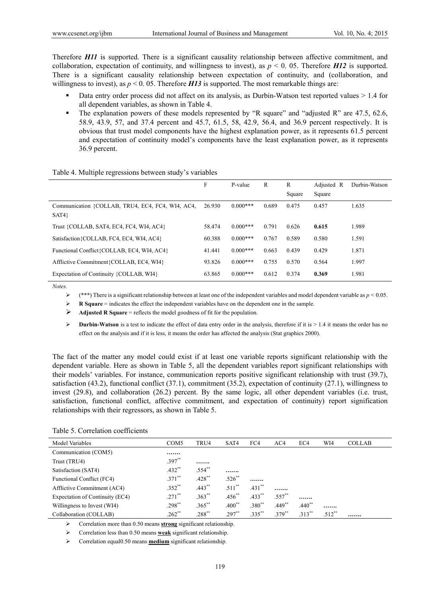Therefore *H11* is supported. There is a significant causality relationship between affective commitment, and collaboration, expectation of continuity, and willingness to invest), as  $p \le 0$ . 05. Therefore *H12* is supported. There is a significant causality relationship between expectation of continuity, and (collaboration, and willingness to invest), as  $p < 0.05$ . Therefore *H13* is supported. The most remarkable things are:

- Data entry order process did not affect on its analysis, as Durbin-Watson test reported values  $> 1.4$  for all dependent variables, as shown in Table 4.
- The explanation powers of these models represented by "R square" and "adjusted R" are 47.5, 62.6, 58.9, 43.9, 57, and 37.4 percent and 45.7, 61.5, 58, 42.9, 56.4, and 36.9 percent respectively. It is obvious that trust model components have the highest explanation power, as it represents 61.5 percent and expectation of continuity model's components have the least explanation power, as it represents 36.9 percent.

|  | Table 4. Multiple regressions between study's variables |  |  |
|--|---------------------------------------------------------|--|--|
|  |                                                         |  |  |

|                                                          | F      | P-value    | R     | R      | Adjusted R | Durbin-Watson |
|----------------------------------------------------------|--------|------------|-------|--------|------------|---------------|
|                                                          |        |            |       | Square | Square     |               |
| Communication {COLLAB, TRU4, EC4, FC4, WI4, AC4,<br>SAT4 | 26.930 | $0.000***$ | 0.689 | 0.475  | 0.457      | 1.635         |
| Trust {COLLAB, SAT4, EC4, FC4, WI4, AC4}                 | 58.474 | $0.000***$ | 0.791 | 0.626  | 0.615      | 1.989         |
| Satisfaction {COLLAB, FC4, EC4, WI4, AC4}                | 60.388 | $0.000***$ | 0.767 | 0.589  | 0.580      | 1.591         |
| Functional Conflict{COLLAB, EC4, WI4, AC4}               | 41.441 | $0.000***$ | 0.663 | 0.439  | 0.429      | 1.871         |
| Afflictive Commitment {COLLAB, EC4, WI4}                 | 93.826 | $0.000***$ | 0.755 | 0.570  | 0.564      | 1.997         |
| Expectation of Continuity {COLLAB, WI4}                  | 63.865 | $0.000***$ | 0.612 | 0.374  | 0.369      | 1.981         |

*Notes.* 

 $★$  (\*\*\*) There is a significant relationship between at least one of the independent variables and model dependent variable as  $p < 0.05$ .

**R Square** = indicates the effect the independent variables have on the dependent one in the sample.

Adjusted R Square = reflects the model goodness of fit for the population.

**►** Durbin-Watson is a test to indicate the effect of data entry order in the analysis, therefore if it is > 1.4 it means the order has no effect on the analysis and if it is less, it means the order has affected the analysis (Stat graphics 2000).

The fact of the matter any model could exist if at least one variable reports significant relationship with the dependent variable. Here as shown in Table 5, all the dependent variables report significant relationships with their models' variables. For instance, communication reports positive significant relationship with trust (39.7), satisfaction (43.2), functional conflict (37.1), commitment (35.2), expectation of continuity (27.1), willingness to invest (29.8), and collaboration (26.2) percent. By the same logic, all other dependent variables (i.e. trust, satisfaction, functional conflict, affective commitment, and expectation of continuity) report signification relationships with their regressors, as shown in Table 5.

|  | Table 5. Correlation coefficients |
|--|-----------------------------------|
|  |                                   |

| Model Variables                  | COM <sub>5</sub> | TRU4        | SAT4        | FC4                  | AC4         | EC <sub>4</sub> | WI4       | <b>COLLAB</b> |
|----------------------------------|------------------|-------------|-------------|----------------------|-------------|-----------------|-----------|---------------|
| Communication (COM5)             |                  |             |             |                      |             |                 |           |               |
| Trust (TRU4)                     | $.397**$         |             |             |                      |             |                 |           |               |
| Satisfaction (SAT4)              | $.432**$         | $.554$ **   |             |                      |             |                 |           |               |
| <b>Functional Conflict (FC4)</b> | $.371$ **        | $.428$ **   | $.526$ **   |                      |             |                 |           |               |
| Afflictive Commitment (AC4)      | $.352**$         | $.443$ **   | $.511$ **   | $.431$ **            |             |                 |           |               |
| Expectation of Continuity (EC4)  | $.271$ **        | $.363^{**}$ | $.456^{**}$ | $.433$ <sup>**</sup> | $.557^{**}$ |                 |           |               |
| Willingness to Invest (WI4)      | $.298**$         | $.365***$   | $.400^{**}$ | $.380^{**}$          | $.449$ **   | $.440^{**}$     |           |               |
| Collaboration (COLLAB)           | $.262$ **        | $.288^{**}$ | $.297**$    | $.335***$            | $379^{**}$  | $.313**$        | $.512$ ** |               |

Correlation more than 0.50 means **strong** significant relationship.

Correlation less than 0.50 means **weak** significant relationship.

Correlation equal0.50 means **medium** significant relationship.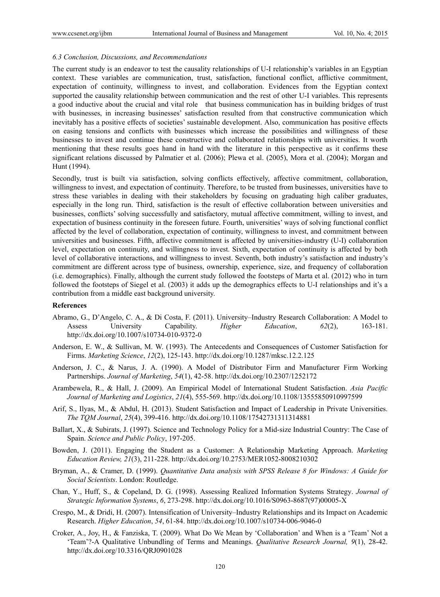### *6.3 Conclusion, Discussions, and Recommendations*

The current study is an endeavor to test the causality relationships of U-I relationship's variables in an Egyptian context. These variables are communication, trust, satisfaction, functional conflict, afflictive commitment, expectation of continuity, willingness to invest, and collaboration. Evidences from the Egyptian context supported the causality relationship between communication and the rest of other U-I variables. This represents a good inductive about the crucial and vital role that business communication has in building bridges of trust with businesses, in increasing businesses' satisfaction resulted from that constructive communication which inevitably has a positive effects of societies' sustainable development. Also, communication has positive effects on easing tensions and conflicts with businesses which increase the possibilities and willingness of these businesses to invest and continue these constructive and collaborated relationships with universities. It worth mentioning that these results goes hand in hand with the literature in this perspective as it confirms these significant relations discussed by Palmatier et al. (2006); Plewa et al. (2005), Mora et al. (2004); Morgan and Hunt (1994).

Secondly, trust is built via satisfaction, solving conflicts effectively, affective commitment, collaboration, willingness to invest, and expectation of continuity. Therefore, to be trusted from businesses, universities have to stress these variables in dealing with their stakeholders by focusing on graduating high caliber graduates, especially in the long run. Third, satisfaction is the result of effective collaboration between universities and businesses, conflicts' solving successfully and satisfactory, mutual affective commitment, willing to invest, and expectation of business continuity in the foreseen future. Fourth, universities' ways of solving functional conflict affected by the level of collaboration, expectation of continuity, willingness to invest, and commitment between universities and businesses. Fifth, affective commitment is affected by universities-industry (U-I) collaboration level, expectation on continuity, and willingness to invest. Sixth, expectation of continuity is affected by both level of collaborative interactions, and willingness to invest. Seventh, both industry's satisfaction and industry's commitment are different across type of business, ownership, experience, size, and frequency of collaboration (i.e. demographics). Finally, although the current study followed the footsteps of Marta et al. (2012) who in turn followed the footsteps of Siegel et al. (2003) it adds up the demographics effects to U-I relationships and it's a contribution from a middle east background university.

#### **References**

- Abramo, G., D'Angelo, C. A., & Di Costa, F. (2011). University–Industry Research Collaboration: A Model to Assess University Capability. *Higher Education*, *62*(2), 163-181. http://dx.doi.org/10.1007/s10734-010-9372-0
- Anderson, E. W., & Sullivan, M. W. (1993). The Antecedents and Consequences of Customer Satisfaction for Firms. *Marketing Science*, *12*(2), 125-143. http://dx.doi.org/10.1287/mksc.12.2.125
- Anderson, J. C., & Narus, J. A. (1990). A Model of Distributor Firm and Manufacturer Firm Working Partnerships. *Journal of Marketing*, *54*(1), 42-58. http://dx.doi.org/10.2307/1252172
- Arambewela, R., & Hall, J. (2009). An Empirical Model of International Student Satisfaction. *Asia Pacific Journal of Marketing and Logistics*, *21*(4), 555-569. http://dx.doi.org/10.1108/13555850910997599
- Arif, S., Ilyas, M., & Abdul, H. (2013). Student Satisfaction and Impact of Leadership in Private Universities. *The TQM Journal*, *25*(4), 399-416. http://dx.doi.org/10.1108/17542731311314881
- Ballart, X., & Subirats, J. (1997). Science and Technology Policy for a Mid-size Industrial Country: The Case of Spain. *Science and Public Policy*, 197-205.
- Bowden, J. (2011). Engaging the Student as a Customer: A Relationship Marketing Approach. *Marketing Education Review, 21*(3), 211-228. http://dx.doi.org/10.2753/MER1052-8008210302
- Bryman, A., & Cramer, D. (1999). *Quantitative Data analysis with SPSS Release 8 for Windows: A Guide for Social Scientists*. London: Routledge.
- Chan, Y., Huff, S., & Copeland, D. G. (1998). Assessing Realized Information Systems Strategy. *Journal of Strategic Information Systems*, *6*, 273-298. http://dx.doi.org/10.1016/S0963-8687(97)00005-X
- Crespo, M., & Dridi, H. (2007). Intensification of University–Industry Relationships and its Impact on Academic Research. *Higher Education*, *54*, 61-84. http://dx.doi.org/10.1007/s10734-006-9046-0
- Croker, A., Joy, H., & Fanziska, T. (2009). What Do We Mean by 'Collaboration' and When is a 'Team' Not a 'Team'?-A Qualitative Unbundling of Terms and Meanings. *Qualitative Research Journal, 9*(1), 28-42. http://dx.doi.org/10.3316/QRJ0901028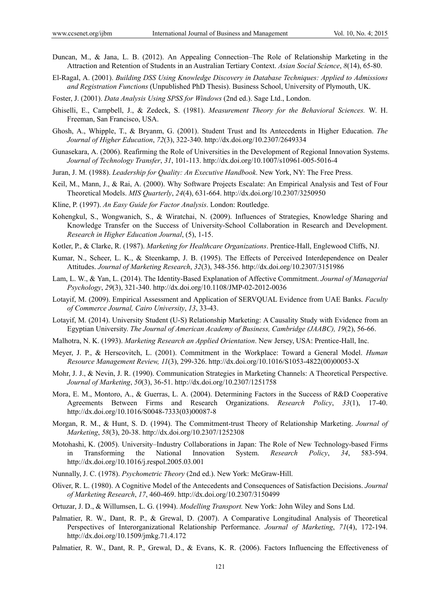- Duncan, M., & Jana, L. B. (2012). An Appealing Connection–The Role of Relationship Marketing in the Attraction and Retention of Students in an Australian Tertiary Context. *Asian Social Science*, *8*(14), 65-80.
- El-Ragal, A. (2001). *Building DSS Using Knowledge Discovery in Database Techniques: Applied to Admissions and Registration Functions* (Unpublished PhD Thesis). Business School, University of Plymouth, UK.
- Foster, J. (2001). *Data Analysis Using SPSS for Windows* (2nd ed.). Sage Ltd., London.
- Ghiselli, E., Campbell, J., & Zedeck, S. (1981). *Measurement Theory for the Behavioral Sciences.* W. H. Freeman, San Francisco, USA.
- Ghosh, A., Whipple, T., & Bryanm, G. (2001). Student Trust and Its Antecedents in Higher Education. *The Journal of Higher Education*, *72*(3), 322-340. http://dx.doi.org/10.2307/2649334
- Gunasekara, A. (2006). Reafirming the Role of Universities in the Development of Regional Innovation Systems. *Journal of Technology Transfer*, *31*, 101-113. http://dx.doi.org/10.1007/s10961-005-5016-4
- Juran, J. M. (1988). *Leadership for Quality: An Executive Handbook*. New York, NY: The Free Press.
- Keil, M., Mann, J., & Rai, A. (2000). Why Software Projects Escalate: An Empirical Analysis and Test of Four Theoretical Models. *MIS Quarterly*, *24*(4), 631-664. http://dx.doi.org/10.2307/3250950
- Kline, P. (1997). *An Easy Guide for Factor Analysis*. London: Routledge.
- Kohengkul, S., Wongwanich, S., & Wiratchai, N. (2009). Influences of Strategies, Knowledge Sharing and Knowledge Transfer on the Success of University-School Collaboration in Research and Development. *Research in Higher Education Journal*, (5), 1-15.
- Kotler, P., & Clarke, R. (1987). *Marketing for Healthcare Organizations*. Prentice-Hall, Englewood Cliffs, NJ.
- Kumar, N., Scheer, L. K., & Steenkamp, J. B. (1995). The Effects of Perceived Interdependence on Dealer Attitudes. *Journal of Marketing Research*, *32*(3), 348-356. http://dx.doi.org/10.2307/3151986
- Lam, L. W., & Yan, L. (2014). The Identity-Based Explanation of Affective Commitment. *Journal of Managerial Psychology*, *29*(3), 321-340. http://dx.doi.org/10.1108/JMP-02-2012-0036
- Lotayif, M. (2009). Empirical Assessment and Application of SERVQUAL Evidence from UAE Banks. *Faculty of Commerce Journal, Cairo University*, *13*, 33-43.
- Lotayif, M. (2014). University Student (U-S) Relationship Marketing: A Causality Study with Evidence from an Egyptian University. *The Journal of American Academy of Business, Cambridge (JAABC), 19*(2), 56-66.
- Malhotra, N. K. (1993). *Marketing Research an Applied Orientation*. New Jersey, USA: Prentice-Hall, Inc.
- Meyer, J. P., & Herscovitch, L. (2001). Commitment in the Workplace: Toward a General Model. *Human Resource Management Review, 11*(3), 299-326. http://dx.doi.org/10.1016/S1053-4822(00)00053-X
- Mohr, J. J., & Nevin, J. R. (1990). Communication Strategies in Marketing Channels: A Theoretical Perspective. *Journal of Marketing*, *50*(3), 36-51. http://dx.doi.org/10.2307/1251758
- Mora, E. M., Montoro, A., & Guerras, L. A. (2004). Determining Factors in the Success of R&D Cooperative Agreements Between Firms and Research Organizations. *Research Policy*, *33*(1), 17-40. http://dx.doi.org/10.1016/S0048-7333(03)00087-8
- Morgan, R. M., & Hunt, S. D. (1994). The Commitment-trust Theory of Relationship Marketing. *Journal of Marketing*, *58*(3), 20-38. http://dx.doi.org/10.2307/1252308
- Motohashi, K. (2005). University–Industry Collaborations in Japan: The Role of New Technology-based Firms in Transforming the National Innovation System. *Research Policy*, *34*, 583-594. http://dx.doi.org/10.1016/j.respol.2005.03.001
- Nunnally, J. C. (1978). *Psychometric Theory* (2nd ed.). New York: McGraw-Hill.
- Oliver, R. L. (1980). A Cognitive Model of the Antecedents and Consequences of Satisfaction Decisions. *Journal of Marketing Research*, *17*, 460-469. http://dx.doi.org/10.2307/3150499
- Ortuzar, J. D., & Willumsen, L. G. (1994). *Modelling Transport.* New York: John Wiley and Sons Ltd.
- Palmatier, R. W., Dant, R. P., & Grewal, D. (2007). A Comparative Longitudinal Analysis of Theoretical Perspectives of Interorganizational Relationship Performance. *Journal of Marketing*, *71*(4), 172-194. http://dx.doi.org/10.1509/jmkg.71.4.172
- Palmatier, R. W., Dant, R. P., Grewal, D., & Evans, K. R. (2006). Factors Influencing the Effectiveness of